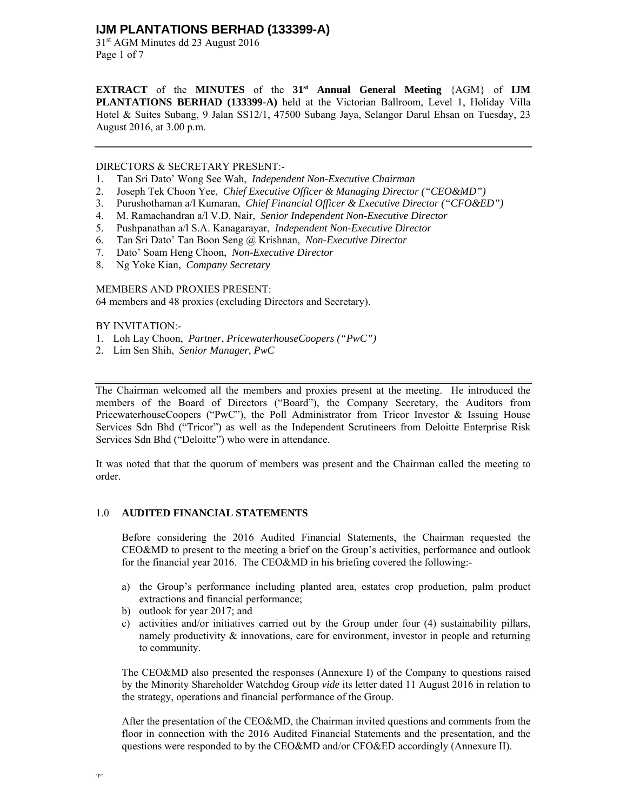31st AGM Minutes dd 23 August 2016 Page 1 of 7

**EXTRACT** of the **MINUTES** of the **31st Annual General Meeting** {AGM} of **IJM PLANTATIONS BERHAD (133399-A)** held at the Victorian Ballroom, Level 1, Holiday Villa Hotel & Suites Subang, 9 Jalan SS12/1, 47500 Subang Jaya, Selangor Darul Ehsan on Tuesday, 23 August 2016, at 3.00 p.m.

DIRECTORS & SECRETARY PRESENT:-

- 1. Tan Sri Dato' Wong See Wah, *Independent Non-Executive Chairman*
- 2. Joseph Tek Choon Yee, *Chief Executive Officer & Managing Director ("CEO&MD")*
- 3. Purushothaman a/l Kumaran, *Chief Financial Officer & Executive Director ("CFO&ED")*
- 4. M. Ramachandran a/l V.D. Nair, *Senior Independent Non-Executive Director*
- 5. Pushpanathan a/l S.A. Kanagarayar, *Independent Non-Executive Director*
- 6. Tan Sri Dato' Tan Boon Seng @ Krishnan, *Non-Executive Director*
- 7. Dato' Soam Heng Choon, *Non-Executive Director*
- 8. Ng Yoke Kian, *Company Secretary*

MEMBERS AND PROXIES PRESENT: 64 members and 48 proxies (excluding Directors and Secretary).

BY INVITATION:-

- 1. Loh Lay Choon, *Partner*, *PricewaterhouseCoopers ("PwC")*
- 2. Lim Sen Shih, *Senior Manager, PwC*

The Chairman welcomed all the members and proxies present at the meeting. He introduced the members of the Board of Directors ("Board"), the Company Secretary, the Auditors from PricewaterhouseCoopers ("PwC"), the Poll Administrator from Tricor Investor & Issuing House Services Sdn Bhd ("Tricor") as well as the Independent Scrutineers from Deloitte Enterprise Risk Services Sdn Bhd ("Deloitte") who were in attendance.

It was noted that that the quorum of members was present and the Chairman called the meeting to order.

## 1.0 **AUDITED FINANCIAL STATEMENTS**

Before considering the 2016 Audited Financial Statements, the Chairman requested the CEO&MD to present to the meeting a brief on the Group's activities, performance and outlook for the financial year 2016. The CEO&MD in his briefing covered the following:-

- a) the Group's performance including planted area, estates crop production, palm product extractions and financial performance;
- b) outlook for year 2017; and
- c) activities and/or initiatives carried out by the Group under four (4) sustainability pillars, namely productivity  $\&$  innovations, care for environment, investor in people and returning to community.

The CEO&MD also presented the responses (Annexure I) of the Company to questions raised by the Minority Shareholder Watchdog Group *vide* its letter dated 11 August 2016 in relation to the strategy, operations and financial performance of the Group.

After the presentation of the CEO&MD, the Chairman invited questions and comments from the floor in connection with the 2016 Audited Financial Statements and the presentation, and the questions were responded to by the CEO&MD and/or CFO&ED accordingly (Annexure II).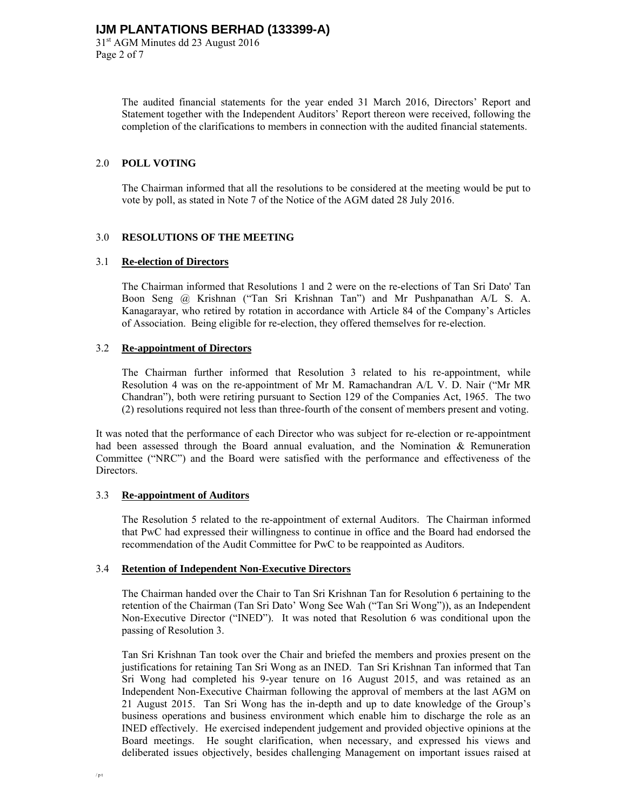The audited financial statements for the year ended 31 March 2016, Directors' Report and Statement together with the Independent Auditors' Report thereon were received, following the completion of the clarifications to members in connection with the audited financial statements.

## 2.0 **POLL VOTING**

 The Chairman informed that all the resolutions to be considered at the meeting would be put to vote by poll, as stated in Note 7 of the Notice of the AGM dated 28 July 2016.

## 3.0 **RESOLUTIONS OF THE MEETING**

### 3.1 **Re-election of Directors**

 The Chairman informed that Resolutions 1 and 2 were on the re-elections of Tan Sri Dato' Tan Boon Seng @ Krishnan ("Tan Sri Krishnan Tan") and Mr Pushpanathan A/L S. A. Kanagarayar, who retired by rotation in accordance with Article 84 of the Company's Articles of Association. Being eligible for re-election, they offered themselves for re-election.

## 3.2 **Re-appointment of Directors**

 The Chairman further informed that Resolution 3 related to his re-appointment, while Resolution 4 was on the re-appointment of Mr M. Ramachandran A/L V. D. Nair ("Mr MR Chandran"), both were retiring pursuant to Section 129 of the Companies Act, 1965. The two (2) resolutions required not less than three-fourth of the consent of members present and voting.

It was noted that the performance of each Director who was subject for re-election or re-appointment had been assessed through the Board annual evaluation, and the Nomination & Remuneration Committee ("NRC") and the Board were satisfied with the performance and effectiveness of the Directors.

### 3.3 **Re-appointment of Auditors**

 The Resolution 5 related to the re-appointment of external Auditors. The Chairman informed that PwC had expressed their willingness to continue in office and the Board had endorsed the recommendation of the Audit Committee for PwC to be reappointed as Auditors.

### 3.4 **Retention of Independent Non-Executive Directors**

 The Chairman handed over the Chair to Tan Sri Krishnan Tan for Resolution 6 pertaining to the retention of the Chairman (Tan Sri Dato' Wong See Wah ("Tan Sri Wong")), as an Independent Non-Executive Director ("INED"). It was noted that Resolution 6 was conditional upon the passing of Resolution 3.

 Tan Sri Krishnan Tan took over the Chair and briefed the members and proxies present on the justifications for retaining Tan Sri Wong as an INED. Tan Sri Krishnan Tan informed that Tan Sri Wong had completed his 9-year tenure on 16 August 2015, and was retained as an Independent Non-Executive Chairman following the approval of members at the last AGM on 21 August 2015. Tan Sri Wong has the in-depth and up to date knowledge of the Group's business operations and business environment which enable him to discharge the role as an INED effectively. He exercised independent judgement and provided objective opinions at the Board meetings. He sought clarification, when necessary, and expressed his views and deliberated issues objectively, besides challenging Management on important issues raised at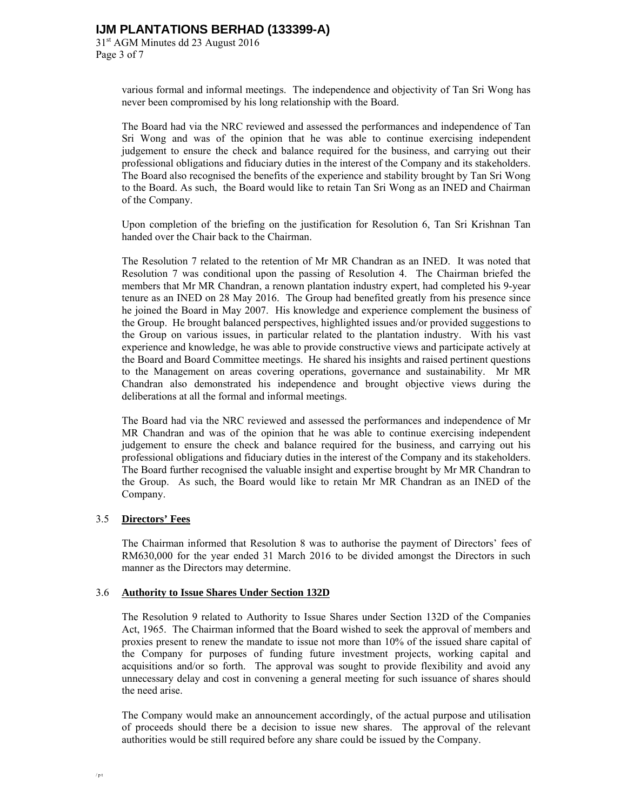31st AGM Minutes dd 23 August 2016 Page 3 of 7

> various formal and informal meetings. The independence and objectivity of Tan Sri Wong has never been compromised by his long relationship with the Board.

> The Board had via the NRC reviewed and assessed the performances and independence of Tan Sri Wong and was of the opinion that he was able to continue exercising independent judgement to ensure the check and balance required for the business, and carrying out their professional obligations and fiduciary duties in the interest of the Company and its stakeholders. The Board also recognised the benefits of the experience and stability brought by Tan Sri Wong to the Board. As such, the Board would like to retain Tan Sri Wong as an INED and Chairman of the Company.

> Upon completion of the briefing on the justification for Resolution 6, Tan Sri Krishnan Tan handed over the Chair back to the Chairman.

> The Resolution 7 related to the retention of Mr MR Chandran as an INED. It was noted that Resolution 7 was conditional upon the passing of Resolution 4. The Chairman briefed the members that Mr MR Chandran, a renown plantation industry expert, had completed his 9-year tenure as an INED on 28 May 2016. The Group had benefited greatly from his presence since he joined the Board in May 2007. His knowledge and experience complement the business of the Group. He brought balanced perspectives, highlighted issues and/or provided suggestions to the Group on various issues, in particular related to the plantation industry. With his vast experience and knowledge, he was able to provide constructive views and participate actively at the Board and Board Committee meetings. He shared his insights and raised pertinent questions to the Management on areas covering operations, governance and sustainability. Mr MR Chandran also demonstrated his independence and brought objective views during the deliberations at all the formal and informal meetings.

> The Board had via the NRC reviewed and assessed the performances and independence of Mr MR Chandran and was of the opinion that he was able to continue exercising independent judgement to ensure the check and balance required for the business, and carrying out his professional obligations and fiduciary duties in the interest of the Company and its stakeholders. The Board further recognised the valuable insight and expertise brought by Mr MR Chandran to the Group. As such, the Board would like to retain Mr MR Chandran as an INED of the Company.

### 3.5 **Directors' Fees**

 The Chairman informed that Resolution 8 was to authorise the payment of Directors' fees of RM630,000 for the year ended 31 March 2016 to be divided amongst the Directors in such manner as the Directors may determine.

### 3.6 **Authority to Issue Shares Under Section 132D**

 The Resolution 9 related to Authority to Issue Shares under Section 132D of the Companies Act, 1965. The Chairman informed that the Board wished to seek the approval of members and proxies present to renew the mandate to issue not more than 10% of the issued share capital of the Company for purposes of funding future investment projects, working capital and acquisitions and/or so forth. The approval was sought to provide flexibility and avoid any unnecessary delay and cost in convening a general meeting for such issuance of shares should the need arise.

 The Company would make an announcement accordingly, of the actual purpose and utilisation of proceeds should there be a decision to issue new shares. The approval of the relevant authorities would be still required before any share could be issued by the Company.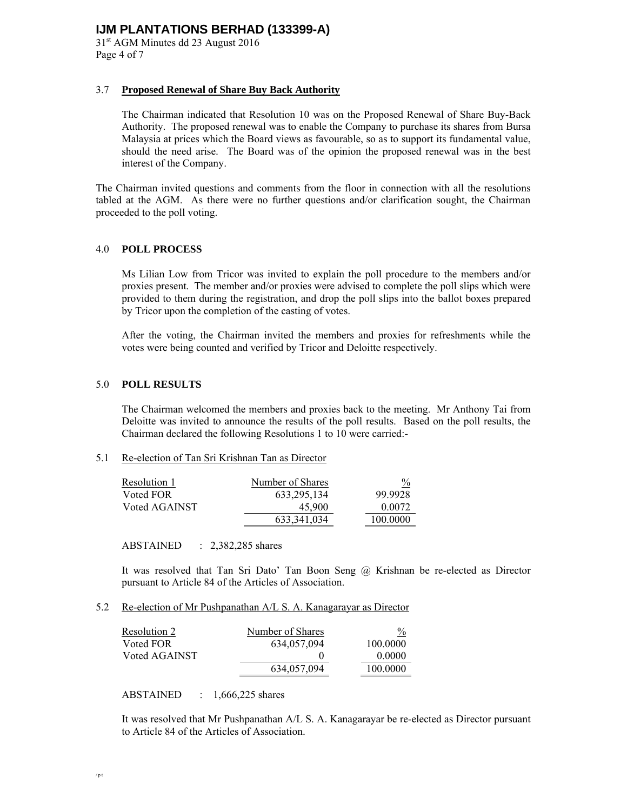31st AGM Minutes dd 23 August 2016 Page 4 of 7

## 3.7 **Proposed Renewal of Share Buy Back Authority**

 The Chairman indicated that Resolution 10 was on the Proposed Renewal of Share Buy-Back Authority. The proposed renewal was to enable the Company to purchase its shares from Bursa Malaysia at prices which the Board views as favourable, so as to support its fundamental value, should the need arise. The Board was of the opinion the proposed renewal was in the best interest of the Company.

The Chairman invited questions and comments from the floor in connection with all the resolutions tabled at the AGM. As there were no further questions and/or clarification sought, the Chairman proceeded to the poll voting.

## 4.0 **POLL PROCESS**

Ms Lilian Low from Tricor was invited to explain the poll procedure to the members and/or proxies present. The member and/or proxies were advised to complete the poll slips which were provided to them during the registration, and drop the poll slips into the ballot boxes prepared by Tricor upon the completion of the casting of votes.

After the voting, the Chairman invited the members and proxies for refreshments while the votes were being counted and verified by Tricor and Deloitte respectively.

### 5.0 **POLL RESULTS**

 The Chairman welcomed the members and proxies back to the meeting. Mr Anthony Tai from Deloitte was invited to announce the results of the poll results. Based on the poll results, the Chairman declared the following Resolutions 1 to 10 were carried:-

## 5.1 Re-election of Tan Sri Krishnan Tan as Director

| Resolution 1  | Number of Shares | $\frac{0}{2}$ |
|---------------|------------------|---------------|
| Voted FOR     | 633, 295, 134    | 99.9928       |
| Voted AGAINST | 45,900           | 0.0072        |
|               | 633, 341, 034    | 100.0000      |

ABSTAINED : 2,382,285 shares

 It was resolved that Tan Sri Dato' Tan Boon Seng @ Krishnan be re-elected as Director pursuant to Article 84 of the Articles of Association.

### 5.2 Re-election of Mr Pushpanathan A/L S. A. Kanagarayar as Director

| <u>Resolution 2</u> | Number of Shares | $\%$     |
|---------------------|------------------|----------|
| Voted FOR           | 634,057,094      | 100.0000 |
| Voted AGAINST       |                  | 0.0000   |
|                     | 634,057,094      | 100.0000 |

ABSTAINED : 1,666,225 shares

 It was resolved that Mr Pushpanathan A/L S. A. Kanagarayar be re-elected as Director pursuant to Article 84 of the Articles of Association.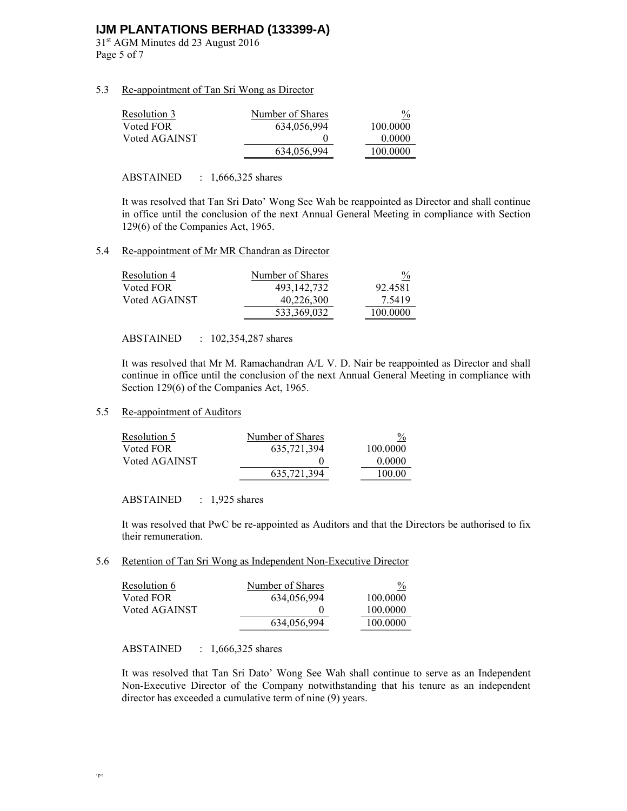31st AGM Minutes dd 23 August 2016 Page 5 of 7

## 5.3 Re-appointment of Tan Sri Wong as Director

| Resolution 3  | Number of Shares | $\frac{0}{0}$ |
|---------------|------------------|---------------|
| Voted FOR     | 634,056,994      | 100,0000      |
| Voted AGAINST |                  | 0.0000        |
|               | 634,056,994      | 100.0000      |

## ABSTAINED : 1,666,325 shares

It was resolved that Tan Sri Dato' Wong See Wah be reappointed as Director and shall continue in office until the conclusion of the next Annual General Meeting in compliance with Section 129(6) of the Companies Act, 1965.

## 5.4 Re-appointment of Mr MR Chandran as Director

| Resolution 4  | Number of Shares | $\frac{0}{2}$ |
|---------------|------------------|---------------|
| Voted FOR     | 493,142,732      | 92.4581       |
| Voted AGAINST | 40,226,300       | 7.5419        |
|               | 533,369,032      | 100.0000      |

### ABSTAINED : 102,354,287 shares

It was resolved that Mr M. Ramachandran A/L V. D. Nair be reappointed as Director and shall continue in office until the conclusion of the next Annual General Meeting in compliance with Section 129(6) of the Companies Act, 1965.

## 5.5 Re-appointment of Auditors

| Resolution 5  | Number of Shares | $\frac{0}{2}$ |
|---------------|------------------|---------------|
| Voted FOR     | 635,721,394      | 100,0000      |
| Voted AGAINST |                  | 0.0000        |
|               | 635,721,394      | 100.00        |

ABSTAINED : 1,925 shares

It was resolved that PwC be re-appointed as Auditors and that the Directors be authorised to fix their remuneration.

5.6 Retention of Tan Sri Wong as Independent Non-Executive Director

| $\frac{0}{0}$ |
|---------------|
| 100.0000      |
| 100.0000      |
| 100,0000      |
|               |

ABSTAINED : 1,666,325 shares

 It was resolved that Tan Sri Dato' Wong See Wah shall continue to serve as an Independent Non-Executive Director of the Company notwithstanding that his tenure as an independent director has exceeded a cumulative term of nine (9) years.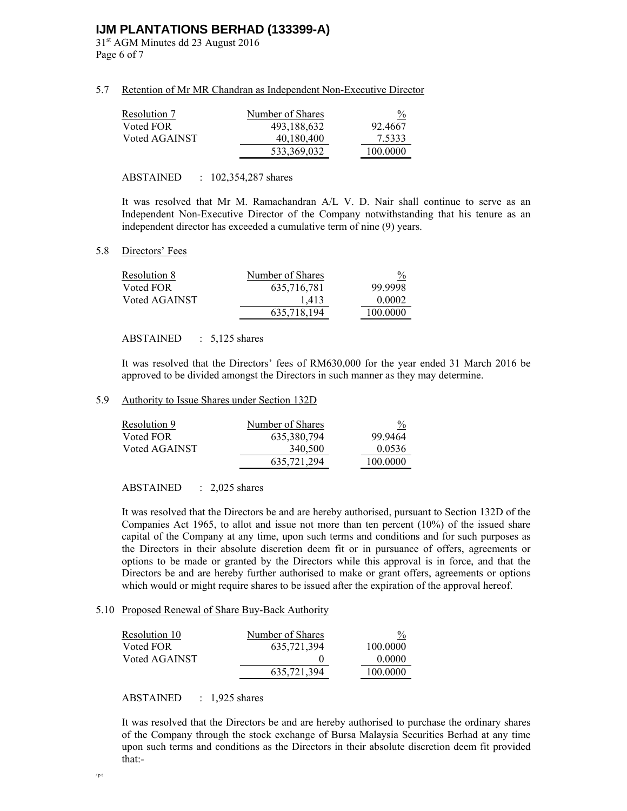31st AGM Minutes dd 23 August 2016 Page 6 of 7

### 5.7 Retention of Mr MR Chandran as Independent Non-Executive Director

| Resolution 7  | Number of Shares | $\frac{0}{2}$ |
|---------------|------------------|---------------|
| Voted FOR     | 493,188,632      | 92.4667       |
| Voted AGAINST | 40,180,400       | 7.5333        |
|               | 533,369,032      | 100.0000      |

#### ABSTAINED : 102,354,287 shares

 It was resolved that Mr M. Ramachandran A/L V. D. Nair shall continue to serve as an Independent Non-Executive Director of the Company notwithstanding that his tenure as an independent director has exceeded a cumulative term of nine (9) years.

### 5.8 Directors' Fees

| Resolution 8  | Number of Shares | $\frac{0}{0}$ |
|---------------|------------------|---------------|
| Voted FOR     | 635,716,781      | 99.9998       |
| Voted AGAINST | 1,413            | 0.0002        |
|               | 635.718.194      | 100.0000      |

#### ABSTAINED : 5,125 shares

It was resolved that the Directors' fees of RM630,000 for the year ended 31 March 2016 be approved to be divided amongst the Directors in such manner as they may determine.

#### 5.9 Authority to Issue Shares under Section 132D

| Resolution 9  | Number of Shares | $\frac{0}{0}$ |
|---------------|------------------|---------------|
| Voted FOR     | 635, 380, 794    | 99 9464       |
| Voted AGAINST | 340,500          | 0.0536        |
|               | 635,721,294      | 100.0000      |

ABSTAINED : 2,025 shares

It was resolved that the Directors be and are hereby authorised, pursuant to Section 132D of the Companies Act 1965, to allot and issue not more than ten percent (10%) of the issued share capital of the Company at any time, upon such terms and conditions and for such purposes as the Directors in their absolute discretion deem fit or in pursuance of offers, agreements or options to be made or granted by the Directors while this approval is in force, and that the Directors be and are hereby further authorised to make or grant offers, agreements or options which would or might require shares to be issued after the expiration of the approval hereof.

#### 5.10 Proposed Renewal of Share Buy-Back Authority

| Resolution 10 | Number of Shares | $\frac{0}{0}$ |
|---------------|------------------|---------------|
| Voted FOR     | 635,721,394      | 100.0000      |
| Voted AGAINST |                  | 0.0000        |
|               | 635,721,394      | 100.0000      |

ABSTAINED : 1,925 shares

It was resolved that the Directors be and are hereby authorised to purchase the ordinary shares of the Company through the stock exchange of Bursa Malaysia Securities Berhad at any time upon such terms and conditions as the Directors in their absolute discretion deem fit provided that:-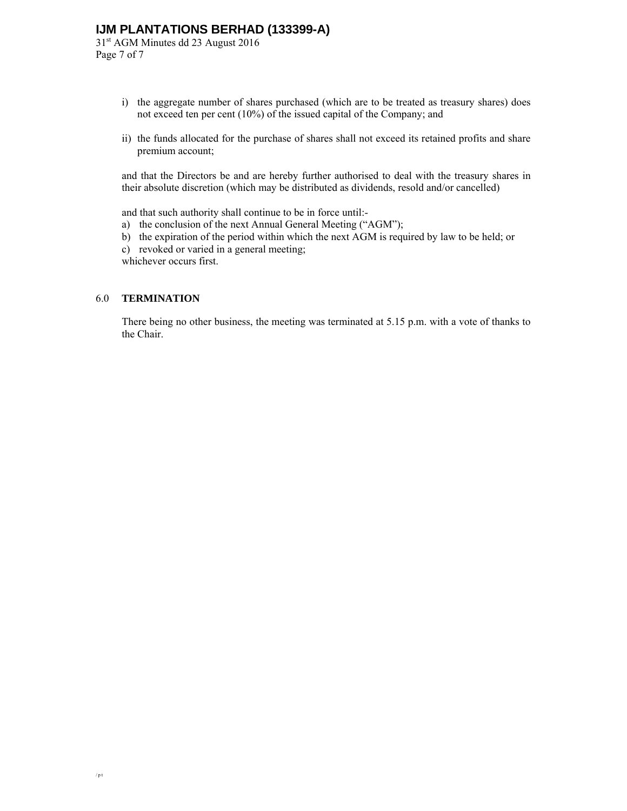31st AGM Minutes dd 23 August 2016 Page 7 of 7

- i) the aggregate number of shares purchased (which are to be treated as treasury shares) does not exceed ten per cent (10%) of the issued capital of the Company; and
- ii) the funds allocated for the purchase of shares shall not exceed its retained profits and share premium account;

and that the Directors be and are hereby further authorised to deal with the treasury shares in their absolute discretion (which may be distributed as dividends, resold and/or cancelled)

and that such authority shall continue to be in force until:-

- a) the conclusion of the next Annual General Meeting ("AGM");
- b) the expiration of the period within which the next AGM is required by law to be held; or
- c) revoked or varied in a general meeting;

whichever occurs first.

## 6.0 **TERMINATION**

There being no other business, the meeting was terminated at 5.15 p.m. with a vote of thanks to the Chair.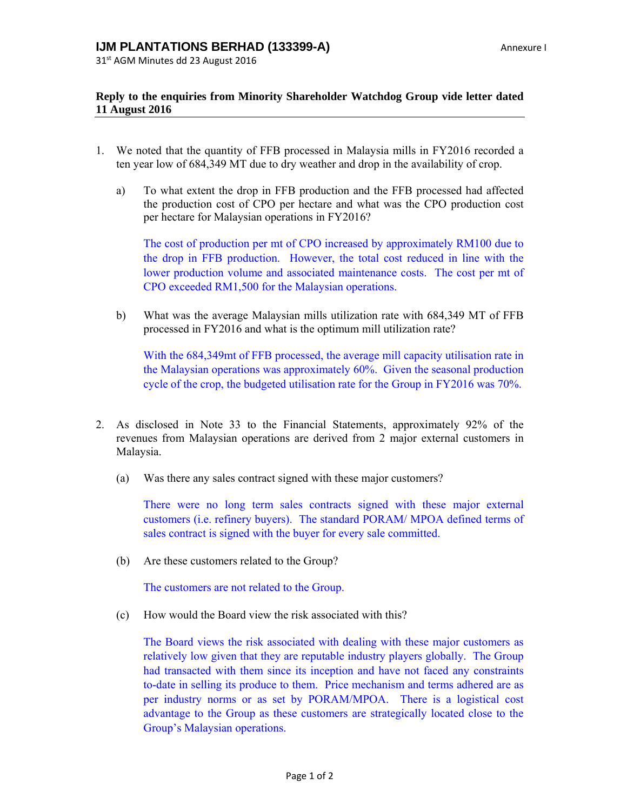31st AGM Minutes dd 23 August 2016

## **Reply to the enquiries from Minority Shareholder Watchdog Group vide letter dated 11 August 2016**

- 1. We noted that the quantity of FFB processed in Malaysia mills in FY2016 recorded a ten year low of 684,349 MT due to dry weather and drop in the availability of crop.
	- a) To what extent the drop in FFB production and the FFB processed had affected the production cost of CPO per hectare and what was the CPO production cost per hectare for Malaysian operations in FY2016?

The cost of production per mt of CPO increased by approximately RM100 due to the drop in FFB production. However, the total cost reduced in line with the lower production volume and associated maintenance costs. The cost per mt of CPO exceeded RM1,500 for the Malaysian operations.

b) What was the average Malaysian mills utilization rate with 684,349 MT of FFB processed in FY2016 and what is the optimum mill utilization rate?

With the 684,349mt of FFB processed, the average mill capacity utilisation rate in the Malaysian operations was approximately 60%. Given the seasonal production cycle of the crop, the budgeted utilisation rate for the Group in FY2016 was 70%.

- 2. As disclosed in Note 33 to the Financial Statements, approximately 92% of the revenues from Malaysian operations are derived from 2 major external customers in Malaysia.
	- (a) Was there any sales contract signed with these major customers?

There were no long term sales contracts signed with these major external customers (i.e. refinery buyers). The standard PORAM/ MPOA defined terms of sales contract is signed with the buyer for every sale committed.

(b) Are these customers related to the Group?

The customers are not related to the Group.

(c) How would the Board view the risk associated with this?

The Board views the risk associated with dealing with these major customers as relatively low given that they are reputable industry players globally. The Group had transacted with them since its inception and have not faced any constraints to-date in selling its produce to them. Price mechanism and terms adhered are as per industry norms or as set by PORAM/MPOA. There is a logistical cost advantage to the Group as these customers are strategically located close to the Group's Malaysian operations.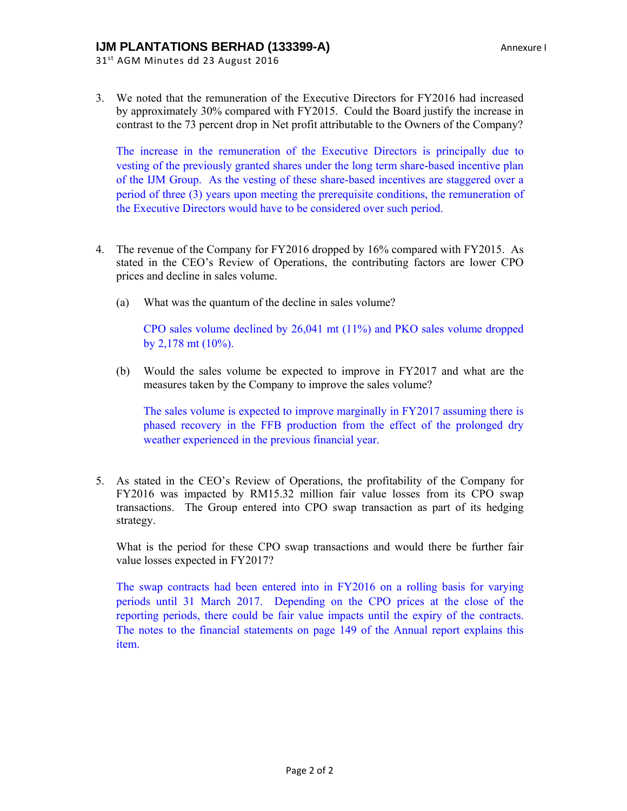31st AGM Minutes dd 23 August 2016

3. We noted that the remuneration of the Executive Directors for FY2016 had increased by approximately 30% compared with FY2015. Could the Board justify the increase in contrast to the 73 percent drop in Net profit attributable to the Owners of the Company?

The increase in the remuneration of the Executive Directors is principally due to vesting of the previously granted shares under the long term share-based incentive plan of the IJM Group. As the vesting of these share-based incentives are staggered over a period of three (3) years upon meeting the prerequisite conditions, the remuneration of the Executive Directors would have to be considered over such period.

- 4. The revenue of the Company for FY2016 dropped by 16% compared with FY2015. As stated in the CEO's Review of Operations, the contributing factors are lower CPO prices and decline in sales volume.
	- (a) What was the quantum of the decline in sales volume?

CPO sales volume declined by 26,041 mt (11%) and PKO sales volume dropped by  $2,178$  mt  $(10\%)$ .

(b) Would the sales volume be expected to improve in FY2017 and what are the measures taken by the Company to improve the sales volume?

The sales volume is expected to improve marginally in FY2017 assuming there is phased recovery in the FFB production from the effect of the prolonged dry weather experienced in the previous financial year.

5. As stated in the CEO's Review of Operations, the profitability of the Company for FY2016 was impacted by RM15.32 million fair value losses from its CPO swap transactions. The Group entered into CPO swap transaction as part of its hedging strategy.

What is the period for these CPO swap transactions and would there be further fair value losses expected in FY2017?

The swap contracts had been entered into in FY2016 on a rolling basis for varying periods until 31 March 2017. Depending on the CPO prices at the close of the reporting periods, there could be fair value impacts until the expiry of the contracts. The notes to the financial statements on page 149 of the Annual report explains this item.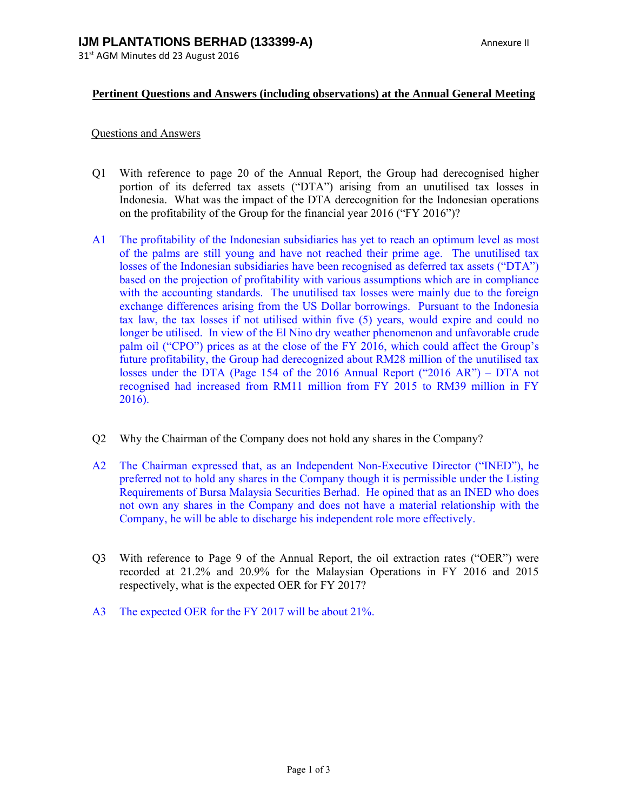## **Pertinent Questions and Answers (including observations) at the Annual General Meeting**

## Questions and Answers

- Q1 With reference to page 20 of the Annual Report, the Group had derecognised higher portion of its deferred tax assets ("DTA") arising from an unutilised tax losses in Indonesia. What was the impact of the DTA derecognition for the Indonesian operations on the profitability of the Group for the financial year 2016 ("FY 2016")?
- A1 The profitability of the Indonesian subsidiaries has yet to reach an optimum level as most of the palms are still young and have not reached their prime age. The unutilised tax losses of the Indonesian subsidiaries have been recognised as deferred tax assets ("DTA") based on the projection of profitability with various assumptions which are in compliance with the accounting standards. The unutilised tax losses were mainly due to the foreign exchange differences arising from the US Dollar borrowings. Pursuant to the Indonesia tax law, the tax losses if not utilised within five (5) years, would expire and could no longer be utilised. In view of the El Nino dry weather phenomenon and unfavorable crude palm oil ("CPO") prices as at the close of the FY 2016, which could affect the Group's future profitability, the Group had derecognized about RM28 million of the unutilised tax losses under the DTA (Page 154 of the 2016 Annual Report ("2016 AR") – DTA not recognised had increased from RM11 million from FY 2015 to RM39 million in FY 2016).
- Q2 Why the Chairman of the Company does not hold any shares in the Company?
- A2 The Chairman expressed that, as an Independent Non-Executive Director ("INED"), he preferred not to hold any shares in the Company though it is permissible under the Listing Requirements of Bursa Malaysia Securities Berhad. He opined that as an INED who does not own any shares in the Company and does not have a material relationship with the Company, he will be able to discharge his independent role more effectively.
- Q3 With reference to Page 9 of the Annual Report, the oil extraction rates ("OER") were recorded at 21.2% and 20.9% for the Malaysian Operations in FY 2016 and 2015 respectively, what is the expected OER for FY 2017?
- A3 The expected OER for the FY 2017 will be about 21%.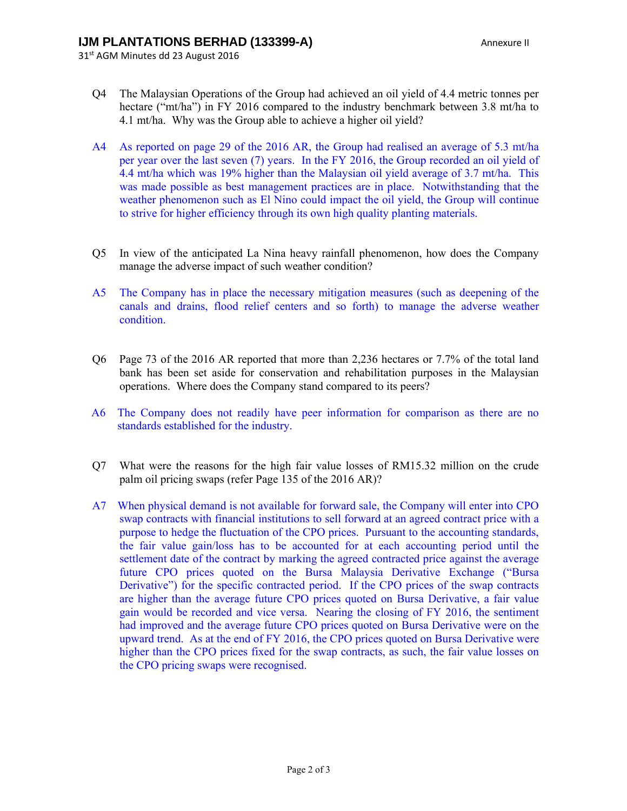31<sup>st</sup> AGM Minutes dd 23 August 2016

- Q4 The Malaysian Operations of the Group had achieved an oil yield of 4.4 metric tonnes per hectare ("mt/ha") in FY 2016 compared to the industry benchmark between 3.8 mt/ha to 4.1 mt/ha. Why was the Group able to achieve a higher oil yield?
- A4 As reported on page 29 of the 2016 AR, the Group had realised an average of 5.3 mt/ha per year over the last seven (7) years. In the FY 2016, the Group recorded an oil yield of 4.4 mt/ha which was 19% higher than the Malaysian oil yield average of 3.7 mt/ha. This was made possible as best management practices are in place. Notwithstanding that the weather phenomenon such as El Nino could impact the oil yield, the Group will continue to strive for higher efficiency through its own high quality planting materials.
- Q5 In view of the anticipated La Nina heavy rainfall phenomenon, how does the Company manage the adverse impact of such weather condition?
- A5 The Company has in place the necessary mitigation measures (such as deepening of the canals and drains, flood relief centers and so forth) to manage the adverse weather condition.
- Q6 Page 73 of the 2016 AR reported that more than 2,236 hectares or 7.7% of the total land bank has been set aside for conservation and rehabilitation purposes in the Malaysian operations. Where does the Company stand compared to its peers?
- A6 The Company does not readily have peer information for comparison as there are no standards established for the industry.
- Q7 What were the reasons for the high fair value losses of RM15.32 million on the crude palm oil pricing swaps (refer Page 135 of the 2016 AR)?
- A7 When physical demand is not available for forward sale, the Company will enter into CPO swap contracts with financial institutions to sell forward at an agreed contract price with a purpose to hedge the fluctuation of the CPO prices. Pursuant to the accounting standards, the fair value gain/loss has to be accounted for at each accounting period until the settlement date of the contract by marking the agreed contracted price against the average future CPO prices quoted on the Bursa Malaysia Derivative Exchange ("Bursa Derivative") for the specific contracted period. If the CPO prices of the swap contracts are higher than the average future CPO prices quoted on Bursa Derivative, a fair value gain would be recorded and vice versa. Nearing the closing of FY 2016, the sentiment had improved and the average future CPO prices quoted on Bursa Derivative were on the upward trend. As at the end of FY 2016, the CPO prices quoted on Bursa Derivative were higher than the CPO prices fixed for the swap contracts, as such, the fair value losses on the CPO pricing swaps were recognised.